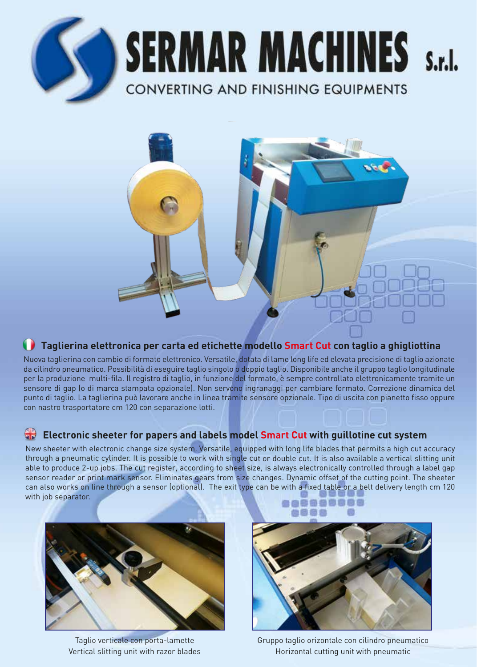

**SERMAR MACHINES** S.r.I. **CONVERTING AND FINISHING EQUIPMENTS** 



# **Taglierina elettronica per carta ed etichette modello Smart Cut con taglio a ghigliottina**

Nuova taglierina con cambio di formato elettronico. Versatile, dotata di lame long life ed elevata precisione di taglio azionate da cilindro pneumatico. Possibilità di eseguire taglio singolo o doppio taglio. Disponibile anche il gruppo taglio longitudinale per la produzione multi-fila. Il registro di taglio, in funzione del formato, è sempre controllato elettronicamente tramite un sensore di gap (o di marca stampata opzionale). Non servono ingranaggi per cambiare formato. Correzione dinamica del punto di taglio. La taglierina può lavorare anche in linea tramite sensore opzionale. Tipo di uscita con pianetto fisso oppure con nastro trasportatore cm 120 con separazione lotti.

### **Electronic sheeter for papers and labels model Smart Cut with guillotine cut system**

New sheeter with electronic change size system. Versatile, equipped with long life blades that permits a high cut accuracy through a pneumatic cylinder. It is possible to work with single cut or double cut. It is also available a vertical slitting unit able to produce 2-up jobs. The cut register, according to sheet size, is always electronically controlled through a label gap sensor reader or print mark sensor. Eliminates gears from size changes. Dynamic offset of the cutting point. The sheeter can also works on line through a sensor (optional). The exit type can be with a fixed table or a belt delivery length cm 120 with job separator. **60000000** 



Taglio verticale con porta-lamette Vertical slitting unit with razor blades



Gruppo taglio orizontale con cilindro pneumatico Horizontal cutting unit with pneumatic